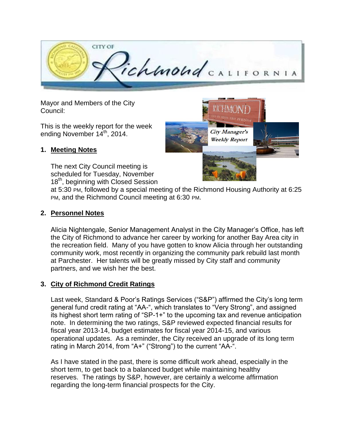

Mayor and Members of the City Council:

This is the weekly report for the week ending November 14th, 2014.

#### **1. Meeting Notes**

The next City Council meeting is scheduled for Tuesday, November 18<sup>th</sup>, beginning with Closed Session



at 5:30 PM, followed by a special meeting of the Richmond Housing Authority at 6:25 PM, and the Richmond Council meeting at 6:30 PM.

#### **2. Personnel Notes**

Alicia Nightengale, Senior Management Analyst in the City Manager's Office, has left the City of Richmond to advance her career by working for another Bay Area city in the recreation field. Many of you have gotten to know Alicia through her outstanding community work, most recently in organizing the community park rebuild last month at Parchester. Her talents will be greatly missed by City staff and community partners, and we wish her the best.

### **3. City of Richmond Credit Ratings**

Last week, Standard & Poor's Ratings Services ("S&P") affirmed the City's long term general fund credit rating at "AA-", which translates to "Very Strong", and assigned its highest short term rating of "SP-1+" to the upcoming tax and revenue anticipation note. In determining the two ratings, S&P reviewed expected financial results for fiscal year 2013-14, budget estimates for fiscal year 2014-15, and various operational updates. As a reminder, the City received an upgrade of its long term rating in March 2014, from "A+" ("Strong") to the current "AA-".

As I have stated in the past, there is some difficult work ahead, especially in the short term, to get back to a balanced budget while maintaining healthy reserves. The ratings by S&P, however, are certainly a welcome affirmation regarding the long-term financial prospects for the City.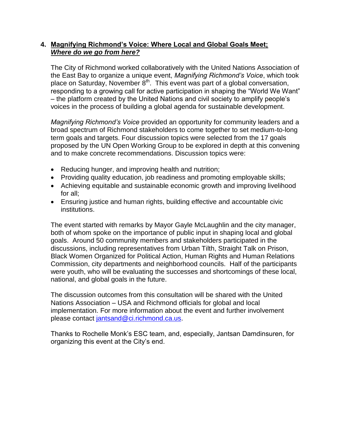#### **4. Magnifying Richmond's Voice: Where Local and Global Goals Meet;**  *Where do we go from here?*

The City of Richmond worked collaboratively with the United Nations Association of the East Bay to organize a unique event, *Magnifying Richmond's Voice*, which took place on Saturday, November  $8<sup>th</sup>$ . This event was part of a global conversation, responding to a growing call for active participation in shaping the "World We Want" – the platform created by the United Nations and civil society to amplify people's voices in the process of building a global agenda for sustainable development.

*Magnifying Richmond's Voice* provided an opportunity for community leaders and a broad spectrum of Richmond stakeholders to come together to set medium-to-long term goals and targets. Four discussion topics were selected from the 17 goals proposed by the UN Open Working Group to be explored in depth at this convening and to make concrete recommendations. Discussion topics were:

- Reducing hunger, and improving health and nutrition;
- Providing quality education, job readiness and promoting employable skills;
- Achieving equitable and sustainable economic growth and improving livelihood for all;
- Ensuring justice and human rights, building effective and accountable civic institutions.

The event started with remarks by Mayor Gayle McLaughlin and the city manager, both of whom spoke on the importance of public input in shaping local and global goals. Around 50 community members and stakeholders participated in the discussions, including representatives from Urban Tilth, Straight Talk on Prison, Black Women Organized for Political Action, Human Rights and Human Relations Commission, city departments and neighborhood councils. Half of the participants were youth, who will be evaluating the successes and shortcomings of these local, national, and global goals in the future.

The discussion outcomes from this consultation will be shared with the United Nations Association – USA and Richmond officials for global and local implementation. For more information about the event and further involvement please contact [jantsand@ci.richmond.ca.us.](mailto:jantsand@ci.richmond.ca.us)

Thanks to Rochelle Monk's ESC team, and, especially, Jantsan Damdinsuren, for organizing this event at the City's end.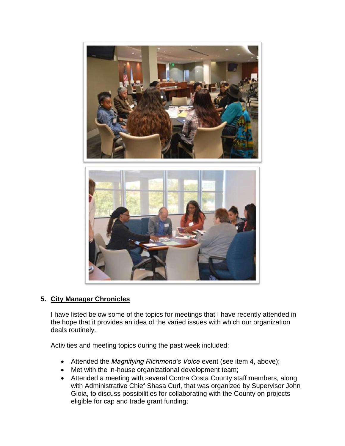

### **5. City Manager Chronicles**

I have listed below some of the topics for meetings that I have recently attended in the hope that it provides an idea of the varied issues with which our organization deals routinely.

Activities and meeting topics during the past week included:

- Attended the *Magnifying Richmond's Voice* event (see item 4, above);
- Met with the in-house organizational development team;
- Attended a meeting with several Contra Costa County staff members, along with Administrative Chief Shasa Curl, that was organized by Supervisor John Gioia, to discuss possibilities for collaborating with the County on projects eligible for cap and trade grant funding;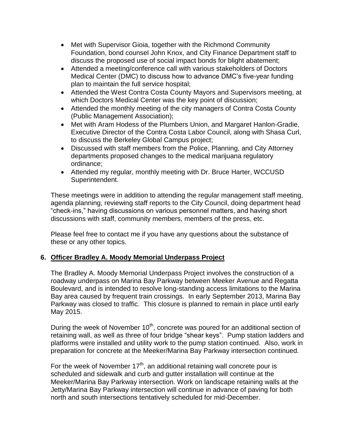- Met with Supervisor Gioia, together with the Richmond Community Foundation, bond counsel John Knox, and City Finance Department staff to discuss the proposed use of social impact bonds for blight abatement;
- Attended a meeting/conference call with various stakeholders of Doctors Medical Center (DMC) to discuss how to advance DMC's five-year funding plan to maintain the full service hospital;
- Attended the West Contra Costa County Mayors and Supervisors meeting, at which Doctors Medical Center was the key point of discussion;
- Attended the monthly meeting of the city managers of Contra Costa County (Public Management Association);
- Met with Aram Hodess of the Plumbers Union, and Margaret Hanlon-Gradie, Executive Director of the Contra Costa Labor Council, along with Shasa Curl, to discuss the Berkeley Global Campus project;
- Discussed with staff members from the Police, Planning, and City Attorney departments proposed changes to the medical marijuana regulatory ordinance;
- Attended my regular, monthly meeting with Dr. Bruce Harter, WCCUSD Superintendent.

These meetings were in addition to attending the regular management staff meeting, agenda planning, reviewing staff reports to the City Council, doing department head "check-ins," having discussions on various personnel matters, and having short discussions with staff, community members, members of the press, etc.

Please feel free to contact me if you have any questions about the substance of these or any other topics.

### **6. Officer Bradley A. Moody Memorial Underpass Project**

The Bradley A. Moody Memorial Underpass Project involves the construction of a roadway underpass on Marina Bay Parkway between Meeker Avenue and Regatta Boulevard, and is intended to resolve long-standing access limitations to the Marina Bay area caused by frequent train crossings. In early September 2013, Marina Bay Parkway was closed to traffic. This closure is planned to remain in place until early May 2015.

During the week of November 10<sup>th</sup>, concrete was poured for an additional section of retaining wall, as well as three of four bridge "shear keys". Pump station ladders and platforms were installed and utility work to the pump station continued. Also, work in preparation for concrete at the Meeker/Marina Bay Parkway intersection continued.

For the week of November  $17<sup>th</sup>$ , an additional retaining wall concrete pour is scheduled and sidewalk and curb and gutter installation will continue at the Meeker/Marina Bay Parkway intersection. Work on landscape retaining walls at the Jetty/Marina Bay Parkway intersection will continue in advance of paving for both north and south intersections tentatively scheduled for mid-December.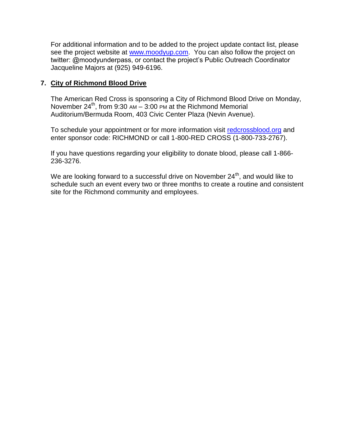For additional information and to be added to the project update contact list, please see the project website at [www.moodyup.com.](http://www.moodyup.com/) You can also follow the project on twitter: @moodyunderpass, or contact the project's Public Outreach Coordinator Jacqueline Majors at (925) 949-6196.

#### **7. City of Richmond Blood Drive**

The American Red Cross is sponsoring a City of Richmond Blood Drive on Monday, November  $24^{th}$ , from 9:30 AM – 3:00 PM at the Richmond Memorial Auditorium/Bermuda Room, 403 Civic Center Plaza (Nevin Avenue).

To schedule your appointment or for more information visit [redcrossblood.org](file:///C:/Users/kadlecs/AppData/Local/Microsoft/Windows/Temporary%20Internet%20Files/Content.Outlook/EITI391U/redcrossblood.org) and enter sponsor code: RICHMOND or call 1-800-RED CROSS (1-800-733-2767).

If you have questions regarding your eligibility to donate blood, please call 1-866- 236-3276.

We are looking forward to a successful drive on November  $24<sup>th</sup>$ , and would like to schedule such an event every two or three months to create a routine and consistent site for the Richmond community and employees.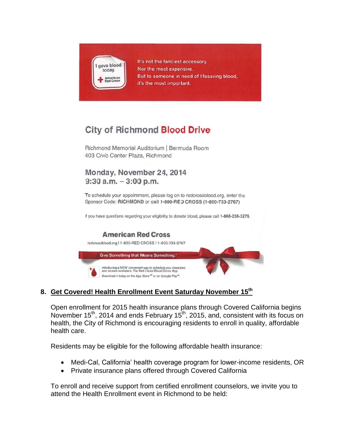

It's not the fanciest accessory. Nor the most expensive. But to someone in need of lifesaving blood. it's the most important.

# **City of Richmond Blood Drive**

Richmond Memorial Auditorium | Bermuda Room 403 Civic Center Plaza, Richmond

## Monday, November 24, 2014  $9:30$  a.m.  $-3:00$  p.m.

To schedule your appointment, please log on to redcrossblood.org, enter the Sponsor Code: RICHMOND or call 1-800-RED CROSS (1-800-733-2767)

If you have questions regarding your eligibility to donate blood, please call 1-866-236-3276.

### **American Red Cross**



### **8. Get Covered! Health Enrollment Event Saturday November 15th**

Open enrollment for 2015 health insurance plans through Covered California begins November 15<sup>th</sup>, 2014 and ends February 15<sup>th</sup>, 2015, and, consistent with its focus on health, the City of Richmond is encouraging residents to enroll in quality, affordable health care.

Residents may be eligible for the following affordable health insurance:

- Medi-Cal, California' health coverage program for lower-income residents, OR
- Private insurance plans offered through Covered California

To enroll and receive support from certified enrollment counselors, we invite you to attend the Health Enrollment event in Richmond to be held: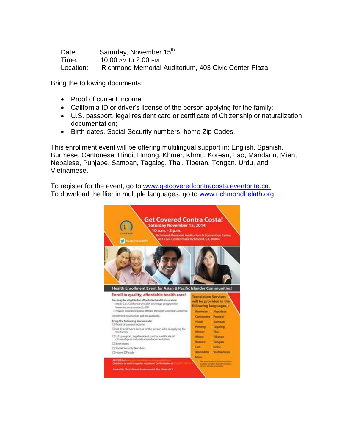| Date:     | Saturday, November 15th                              |
|-----------|------------------------------------------------------|
| Time:     | 10:00 AM to 2:00 PM                                  |
| Location: | Richmond Memorial Auditorium, 403 Civic Center Plaza |

Bring the following documents:

- Proof of current income:
- California ID or driver's license of the person applying for the family;
- U.S. passport, legal resident card or certificate of Citizenship or naturalization documentation;
- Birth dates, Social Security numbers, home Zip Codes.

This enrollment event will be offering multilingual support in: English, Spanish, Burmese, Cantonese, Hindi, Hmong, Khmer, Khmu, Korean, Lao, Mandarin, Mien, Nepalese, Punjabe, Samoan, Tagalog, Thai, Tibetan, Tongan, Urdu, and Vietnamese.

To register for the event, go to [www.getcoveredcontracosta.eventbrite.ca.](http://www.getcoveredcontracosta.eventbrite.ca/) To download the flier in multiple languages, go to [www.richmondhelath.org.](http://www.richmondhelath.org/)

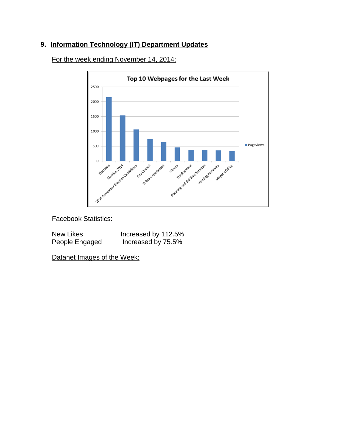### **9. Information Technology (IT) Department Updates**



For the week ending November 14, 2014:

Facebook Statistics:

| New Likes      | Increased by 112.5% |
|----------------|---------------------|
| People Engaged | Increased by 75.5%  |

Datanet Images of the Week: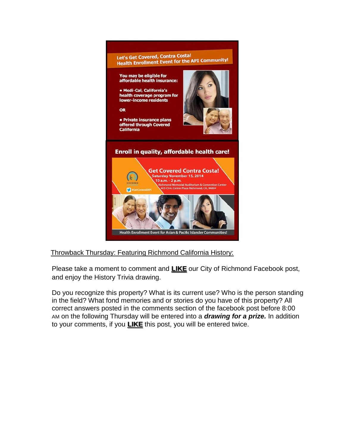

### Throwback Thursday: Featuring Richmond California History:

Please take a moment to comment and **LIKE** our City of Richmond Facebook post, and enjoy the History Trivia drawing.

Do you recognize this property? What is its current use? Who is the person standing in the field? What fond memories and or stories do you have of this property? All correct answers posted in the comments section of the facebook post before 8:00 AM on the following Thursday will be entered into a *drawing for a prize.* In addition to your comments, if you **LIKE** this post, you will be entered twice.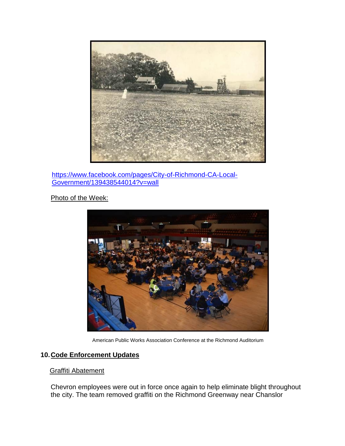

[https://www.facebook.com/pages/City-of-Richmond-CA-Local-](https://www.facebook.com/pages/City-of-Richmond-CA-Local-Government/139438544014?v=wall)[Government/139438544014?v=wall](https://www.facebook.com/pages/City-of-Richmond-CA-Local-Government/139438544014?v=wall)

Photo of the Week:



American Public Works Association Conference at the Richmond Auditorium

### **10.Code Enforcement Updates**

#### Graffiti Abatement

Chevron employees were out in force once again to help eliminate blight throughout the city. The team removed graffiti on the Richmond Greenway near Chanslor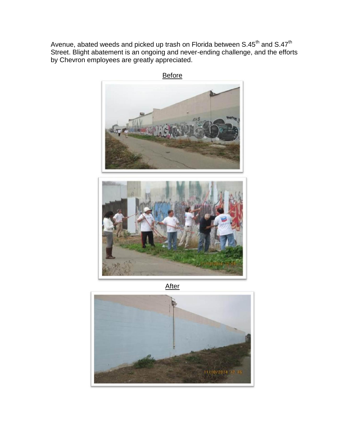Avenue, abated weeds and picked up trash on Florida between S.45<sup>th</sup> and S.47<sup>th</sup> Street. Blight abatement is an ongoing and never-ending challenge, and the efforts by Chevron employees are greatly appreciated.



**After** 

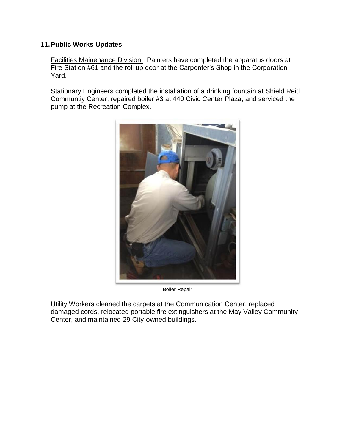#### **11.Public Works Updates**

**Facilities Mainenance Division: Painters have completed the apparatus doors at** Fire Station #61 and the roll up door at the Carpenter's Shop in the Corporation Yard.

Stationary Engineers completed the installation of a drinking fountain at Shield Reid Communtiy Center, repaired boiler #3 at 440 Civic Center Plaza, and serviced the pump at the Recreation Complex.



Boiler Repair

Utility Workers cleaned the carpets at the Communication Center, replaced damaged cords, relocated portable fire extinguishers at the May Valley Community Center, and maintained 29 City-owned buildings.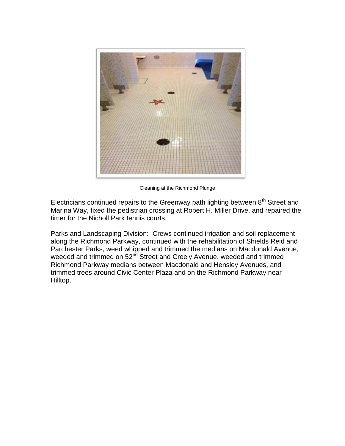

Cleaning at the Richmond Plunge

Electricians continued repairs to the Greenway path lighting between  $8<sup>th</sup>$  Street and Marina Way, fixed the pedistrian crossing at Robert H. Miller Drive, and repaired the timer for the Nicholl Park tennis courts.

Parks and Landscaping Division: Crews continued irrigation and soil replacement along the Richmond Parkway, continued with the rehabilitation of Shields Reid and Parchester Parks, weed whipped and trimmed the medians on Macdonald Avenue, weeded and trimmed on 52<sup>nd</sup> Street and Creely Avenue, weeded and trimmed Richmond Parkway medians between Macdonald and Hensley Avenues, and trimmed trees around Civic Center Plaza and on the Richmond Parkway near Hilltop.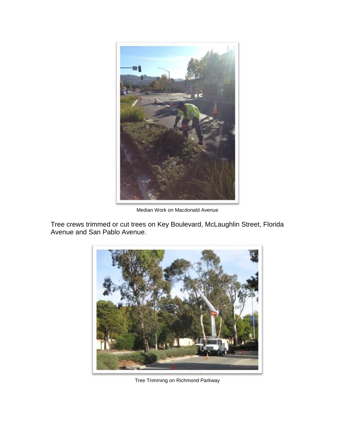

Median Work on Macdonald Avenue

Tree crews trimmed or cut trees on Key Boulevard, McLaughlin Street, Florida Avenue and San Pablo Avenue.



Tree Trimming on Richmond Parkway